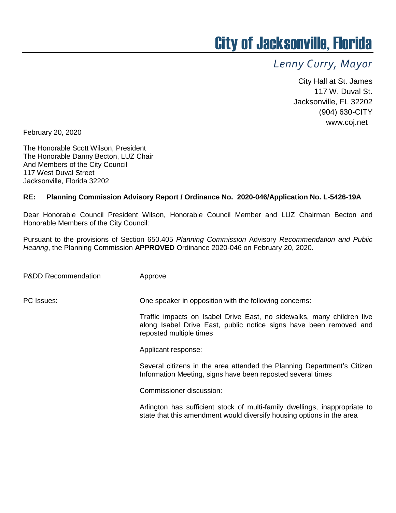## City of Jacksonville, Florida

## *Lenny Curry, Mayor*

City Hall at St. James 117 W. Duval St. Jacksonville, FL 32202 (904) 630-CITY www.coj.net

February 20, 2020

The Honorable Scott Wilson, President The Honorable Danny Becton, LUZ Chair And Members of the City Council 117 West Duval Street Jacksonville, Florida 32202

## **RE: Planning Commission Advisory Report / Ordinance No. 2020-046/Application No. L-5426-19A**

Dear Honorable Council President Wilson, Honorable Council Member and LUZ Chairman Becton and Honorable Members of the City Council:

Pursuant to the provisions of Section 650.405 *Planning Commission* Advisory *Recommendation and Public Hearing*, the Planning Commission **APPROVED** Ordinance 2020-046 on February 20, 2020.

P&DD Recommendation Approve

PC Issues: One speaker in opposition with the following concerns:

Traffic impacts on Isabel Drive East, no sidewalks, many children live along Isabel Drive East, public notice signs have been removed and reposted multiple times

Applicant response:

Several citizens in the area attended the Planning Department's Citizen Information Meeting, signs have been reposted several times

Commissioner discussion:

Arlington has sufficient stock of multi-family dwellings, inappropriate to state that this amendment would diversify housing options in the area